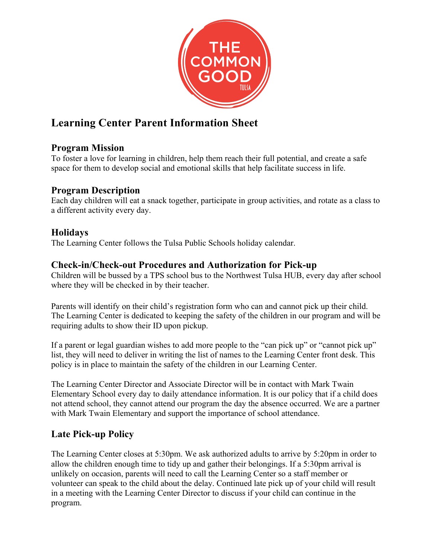

# **Learning Center Parent Information Sheet**

# **Program Mission**

To foster a love for learning in children, help them reach their full potential, and create a safe space for them to develop social and emotional skills that help facilitate success in life.

# **Program Description**

Each day children will eat a snack together, participate in group activities, and rotate as a class to a different activity every day.

## **Holidays**

The Learning Center follows the Tulsa Public Schools holiday calendar.

## **Check-in/Check-out Procedures and Authorization for Pick-up**

Children will be bussed by a TPS school bus to the Northwest Tulsa HUB, every day after school where they will be checked in by their teacher.

Parents will identify on their child's registration form who can and cannot pick up their child. The Learning Center is dedicated to keeping the safety of the children in our program and will be requiring adults to show their ID upon pickup.

If a parent or legal guardian wishes to add more people to the "can pick up" or "cannot pick up" list, they will need to deliver in writing the list of names to the Learning Center front desk. This policy is in place to maintain the safety of the children in our Learning Center.

The Learning Center Director and Associate Director will be in contact with Mark Twain Elementary School every day to daily attendance information. It is our policy that if a child does not attend school, they cannot attend our program the day the absence occurred. We are a partner with Mark Twain Elementary and support the importance of school attendance.

# **Late Pick-up Policy**

The Learning Center closes at 5:30pm. We ask authorized adults to arrive by 5:20pm in order to allow the children enough time to tidy up and gather their belongings. If a 5:30pm arrival is unlikely on occasion, parents will need to call the Learning Center so a staff member or volunteer can speak to the child about the delay. Continued late pick up of your child will result in a meeting with the Learning Center Director to discuss if your child can continue in the program.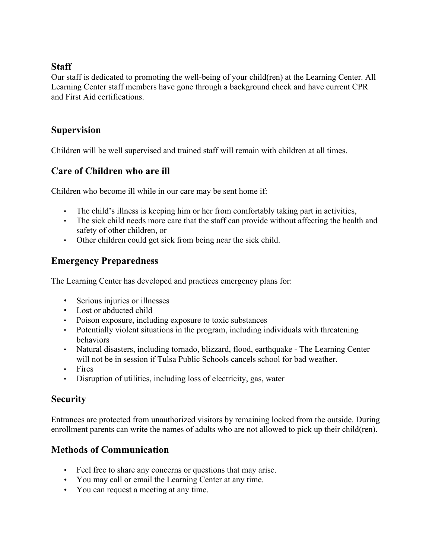#### **Staff**

Our staff is dedicated to promoting the well-being of your child(ren) at the Learning Center. All Learning Center staff members have gone through a background check and have current CPR and First Aid certifications.

## **Supervision**

Children will be well supervised and trained staff will remain with children at all times.

## **Care of Children who are ill**

Children who become ill while in our care may be sent home if:

- The child's illness is keeping him or her from comfortably taking part in activities,
- The sick child needs more care that the staff can provide without affecting the health and safety of other children, or
- Other children could get sick from being near the sick child.

# **Emergency Preparedness**

The Learning Center has developed and practices emergency plans for:

- Serious injuries or illnesses
- Lost or abducted child
- Poison exposure, including exposure to toxic substances
- Potentially violent situations in the program, including individuals with threatening behaviors
- Natural disasters, including tornado, blizzard, flood, earthquake The Learning Center will not be in session if Tulsa Public Schools cancels school for bad weather.
- Fires
- Disruption of utilities, including loss of electricity, gas, water

## **Security**

Entrances are protected from unauthorized visitors by remaining locked from the outside. During enrollment parents can write the names of adults who are not allowed to pick up their child(ren).

# **Methods of Communication**

- Feel free to share any concerns or questions that may arise.
- You may call or email the Learning Center at any time.
- You can request a meeting at any time.